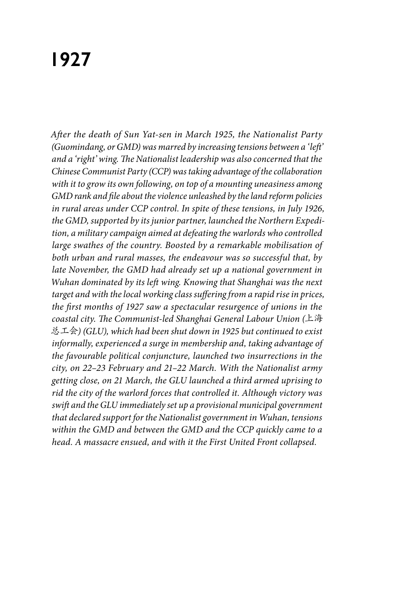# **1927**

*After the death of Sun Yat-sen in March 1925, the Nationalist Party (Guomindang, or GMD) was marred by increasing tensions between a 'left' and a 'right' wing. The Nationalist leadership was also concerned that the Chinese Communist Party (CCP) was taking advantage of the collaboration with it to grow its own following, on top of a mounting uneasiness among GMD rank and file about the violence unleashed by the land reform policies in rural areas under CCP control. In spite of these tensions, in July 1926, the GMD, supported by its junior partner, launched the Northern Expedition, a military campaign aimed at defeating the warlords who controlled large swathes of the country. Boosted by a remarkable mobilisation of both urban and rural masses, the endeavour was so successful that, by late November, the GMD had already set up a national government in Wuhan dominated by its left wing. Knowing that Shanghai was the next target and with the local working class suffering from a rapid rise in prices, the first months of 1927 saw a spectacular resurgence of unions in the coastal city. The Communist-led Shanghai General Labour Union (*上海 总工会*) (GLU), which had been shut down in 1925 but continued to exist informally, experienced a surge in membership and, taking advantage of the favourable political conjuncture, launched two insurrections in the city, on 22–23 February and 21–22 March. With the Nationalist army getting close, on 21 March, the GLU launched a third armed uprising to rid the city of the warlord forces that controlled it. Although victory was swift and the GLU immediately set up a provisional municipal government that declared support for the Nationalist government in Wuhan, tensions within the GMD and between the GMD and the CCP quickly came to a head. A massacre ensued, and with it the First United Front collapsed.*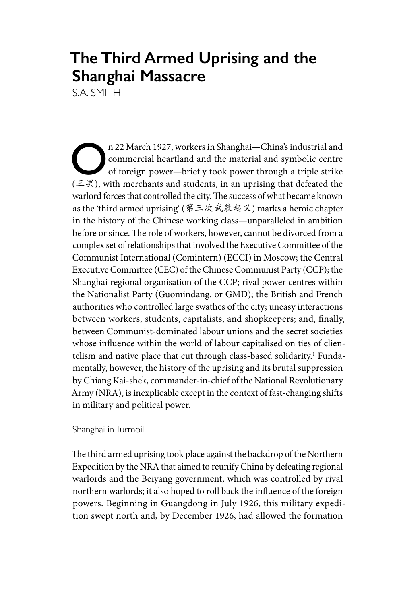# **The Third Armed Uprising and the Shanghai Massacre**

S.A. SMITH

 $\bigcap$  n 22 March 1927, workers in Shanghai—China's industrial and<br>
commercial heartland and the material and symbolic centre<br>
of foreign power—briefly took power through a triple strike<br>
( $\overline{z}$   $\overline{\mathbb{E}}$ ) with marcha commercial heartland and the material and symbolic centre of foreign power—briefly took power through a triple strike  $(4.4)$ , with merchants and students, in an uprising that defeated the warlord forces that controlled the city. The success of what became known as the 'third armed uprising' (第三次武装起义) marks a heroic chapter in the history of the Chinese working class—unparalleled in ambition before or since. The role of workers, however, cannot be divorced from a complex set of relationships that involved the Executive Committee of the Communist International (Comintern) (ECCI) in Moscow; the Central Executive Committee (CEC) of the Chinese Communist Party (CCP); the Shanghai regional organisation of the CCP; rival power centres within the Nationalist Party (Guomindang, or GMD); the British and French authorities who controlled large swathes of the city; uneasy interactions between workers, students, capitalists, and shopkeepers; and, finally, between Communist-dominated labour unions and the secret societies whose influence within the world of labour capitalised on ties of clientelism and native place that cut through class-based solidarity.<sup>1</sup> Fundamentally, however, the history of the uprising and its brutal suppression by Chiang Kai-shek, commander-in-chief of the National Revolutionary Army (NRA), is inexplicable except in the context of fast-changing shifts in military and political power.

### Shanghai in Turmoil

The third armed uprising took place against the backdrop of the Northern Expedition by the NRA that aimed to reunify China by defeating regional warlords and the Beiyang government, which was controlled by rival northern warlords; it also hoped to roll back the influence of the foreign powers. Beginning in Guangdong in July 1926, this military expedition swept north and, by December 1926, had allowed the formation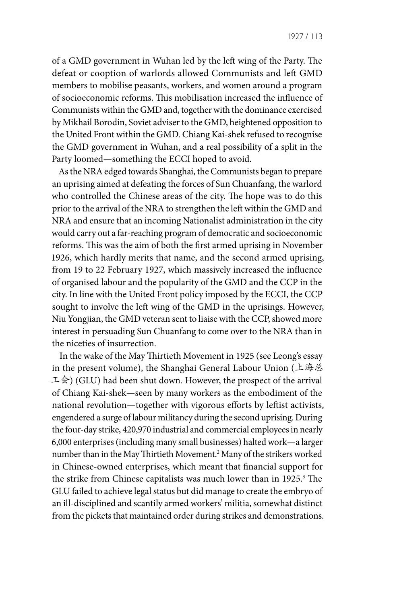of a GMD government in Wuhan led by the left wing of the Party. The defeat or cooption of warlords allowed Communists and left GMD members to mobilise peasants, workers, and women around a program of socioeconomic reforms. This mobilisation increased the influence of Communists within the GMD and, together with the dominance exercised by Mikhail Borodin, Soviet adviser to the GMD, heightened opposition to the United Front within the GMD. Chiang Kai-shek refused to recognise the GMD government in Wuhan, and a real possibility of a split in the Party loomed—something the ECCI hoped to avoid.

As the NRA edged towards Shanghai, the Communists began to prepare an uprising aimed at defeating the forces of Sun Chuanfang, the warlord who controlled the Chinese areas of the city. The hope was to do this prior to the arrival of the NRA to strengthen the left within the GMD and NRA and ensure that an incoming Nationalist administration in the city would carry out a far-reaching program of democratic and socioeconomic reforms. This was the aim of both the first armed uprising in November 1926, which hardly merits that name, and the second armed uprising, from 19 to 22 February 1927, which massively increased the influence of organised labour and the popularity of the GMD and the CCP in the city. In line with the United Front policy imposed by the ECCI, the CCP sought to involve the left wing of the GMD in the uprisings. However, Niu Yongjian, the GMD veteran sent to liaise with the CCP, showed more interest in persuading Sun Chuanfang to come over to the NRA than in the niceties of insurrection.

In the wake of the May Thirtieth Movement in 1925 (see Leong's essay in the present volume), the Shanghai General Labour Union (上海总 工会) (GLU) had been shut down. However, the prospect of the arrival of Chiang Kai-shek—seen by many workers as the embodiment of the national revolution—together with vigorous efforts by leftist activists, engendered a surge of labour militancy during the second uprising. During the four-day strike, 420,970 industrial and commercial employees in nearly 6,000 enterprises (including many small businesses) halted work—a larger number than in the May Thirtieth Movement.2 Many of the strikers worked in Chinese-owned enterprises, which meant that financial support for the strike from Chinese capitalists was much lower than in 1925.<sup>3</sup> The GLU failed to achieve legal status but did manage to create the embryo of an ill-disciplined and scantily armed workers' militia, somewhat distinct from the pickets that maintained order during strikes and demonstrations.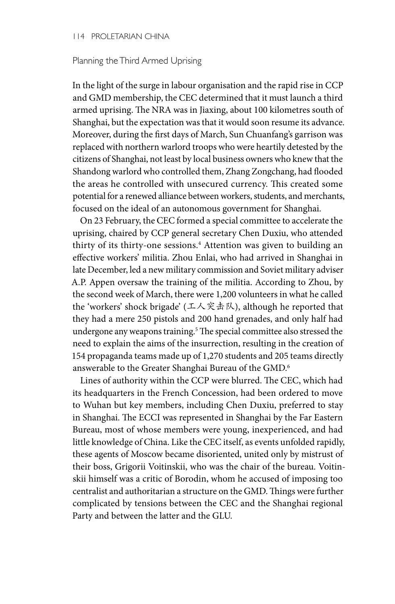#### 114 PROLETARIAN CHINA

#### Planning the Third Armed Uprising

In the light of the surge in labour organisation and the rapid rise in CCP and GMD membership, the CEC determined that it must launch a third armed uprising. The NRA was in Jiaxing, about 100 kilometres south of Shanghai, but the expectation was that it would soon resume its advance. Moreover, during the first days of March, Sun Chuanfang's garrison was replaced with northern warlord troops who were heartily detested by the citizens of Shanghai, not least by local business owners who knew that the Shandong warlord who controlled them, Zhang Zongchang, had flooded the areas he controlled with unsecured currency. This created some potential for a renewed alliance between workers, students, and merchants, focused on the ideal of an autonomous government for Shanghai.

On 23 February, the CEC formed a special committee to accelerate the uprising, chaired by CCP general secretary Chen Duxiu, who attended thirty of its thirty-one sessions.4 Attention was given to building an effective workers' militia. Zhou Enlai, who had arrived in Shanghai in late December, led a new military commission and Soviet military adviser A.P. Appen oversaw the training of the militia. According to Zhou, by the second week of March, there were 1,200 volunteers in what he called the 'workers' shock brigade' (工人突击队), although he reported that they had a mere 250 pistols and 200 hand grenades, and only half had undergone any weapons training.5 The special committee also stressed the need to explain the aims of the insurrection, resulting in the creation of 154 propaganda teams made up of 1,270 students and 205 teams directly answerable to the Greater Shanghai Bureau of the GMD.<sup>6</sup>

Lines of authority within the CCP were blurred. The CEC, which had its headquarters in the French Concession, had been ordered to move to Wuhan but key members, including Chen Duxiu, preferred to stay in Shanghai. The ECCI was represented in Shanghai by the Far Eastern Bureau, most of whose members were young, inexperienced, and had little knowledge of China. Like the CEC itself, as events unfolded rapidly, these agents of Moscow became disoriented, united only by mistrust of their boss, Grigorii Voitinskii, who was the chair of the bureau. Voitinskii himself was a critic of Borodin, whom he accused of imposing too centralist and authoritarian a structure on the GMD. Things were further complicated by tensions between the CEC and the Shanghai regional Party and between the latter and the GLU.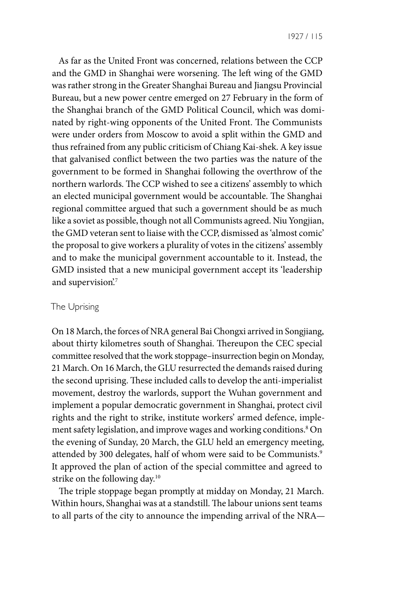As far as the United Front was concerned, relations between the CCP and the GMD in Shanghai were worsening. The left wing of the GMD was rather strong in the Greater Shanghai Bureau and Jiangsu Provincial Bureau, but a new power centre emerged on 27 February in the form of the Shanghai branch of the GMD Political Council, which was dominated by right-wing opponents of the United Front. The Communists were under orders from Moscow to avoid a split within the GMD and thus refrained from any public criticism of Chiang Kai-shek. A key issue that galvanised conflict between the two parties was the nature of the government to be formed in Shanghai following the overthrow of the northern warlords. The CCP wished to see a citizens' assembly to which an elected municipal government would be accountable. The Shanghai regional committee argued that such a government should be as much like a soviet as possible, though not all Communists agreed. Niu Yongjian, the GMD veteran sent to liaise with the CCP, dismissed as 'almost comic' the proposal to give workers a plurality of votes in the citizens' assembly and to make the municipal government accountable to it. Instead, the GMD insisted that a new municipal government accept its 'leadership and supervision'.<sup>7</sup>

#### The Uprising

On 18 March, the forces of NRA general Bai Chongxi arrived in Songjiang, about thirty kilometres south of Shanghai. Thereupon the CEC special committee resolved that the work stoppage–insurrection begin on Monday, 21 March. On 16 March, the GLU resurrected the demands raised during the second uprising. These included calls to develop the anti-imperialist movement, destroy the warlords, support the Wuhan government and implement a popular democratic government in Shanghai, protect civil rights and the right to strike, institute workers' armed defence, implement safety legislation, and improve wages and working conditions.8 On the evening of Sunday, 20 March, the GLU held an emergency meeting, attended by 300 delegates, half of whom were said to be Communists.<sup>9</sup> It approved the plan of action of the special committee and agreed to strike on the following day.10

The triple stoppage began promptly at midday on Monday, 21 March. Within hours, Shanghai was at a standstill. The labour unions sent teams to all parts of the city to announce the impending arrival of the NRA—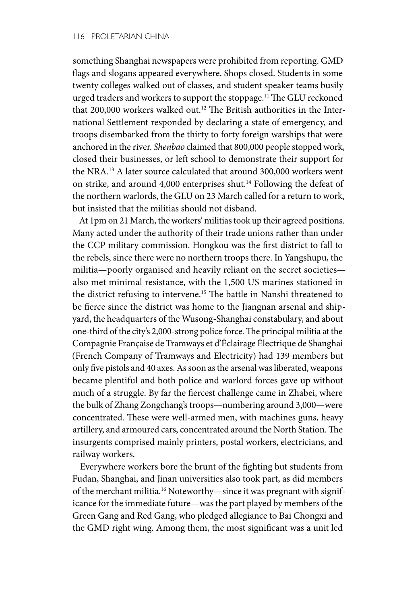something Shanghai newspapers were prohibited from reporting. GMD flags and slogans appeared everywhere. Shops closed. Students in some twenty colleges walked out of classes, and student speaker teams busily urged traders and workers to support the stoppage.11 The GLU reckoned that 200,000 workers walked out.<sup>12</sup> The British authorities in the International Settlement responded by declaring a state of emergency, and troops disembarked from the thirty to forty foreign warships that were anchored in the river. *Shenbao* claimed that 800,000 people stopped work, closed their businesses, or left school to demonstrate their support for the NRA.13 A later source calculated that around 300,000 workers went on strike, and around 4,000 enterprises shut.<sup>14</sup> Following the defeat of the northern warlords, the GLU on 23 March called for a return to work, but insisted that the militias should not disband.

At 1pm on 21 March, the workers' militias took up their agreed positions. Many acted under the authority of their trade unions rather than under the CCP military commission. Hongkou was the first district to fall to the rebels, since there were no northern troops there. In Yangshupu, the militia—poorly organised and heavily reliant on the secret societies also met minimal resistance, with the 1,500 US marines stationed in the district refusing to intervene.<sup>15</sup> The battle in Nanshi threatened to be fierce since the district was home to the Jiangnan arsenal and shipyard, the headquarters of the Wusong-Shanghai constabulary, and about one-third of the city's 2,000-strong police force. The principal militia at the Compagnie Française de Tramways et d'Éclairage Électrique de Shanghai (French Company of Tramways and Electricity) had 139 members but only five pistols and 40 axes. As soon as the arsenal was liberated, weapons became plentiful and both police and warlord forces gave up without much of a struggle. By far the fiercest challenge came in Zhabei, where the bulk of Zhang Zongchang's troops—numbering around 3,000—were concentrated. These were well-armed men, with machines guns, heavy artillery, and armoured cars, concentrated around the North Station. The insurgents comprised mainly printers, postal workers, electricians, and railway workers.

Everywhere workers bore the brunt of the fighting but students from Fudan, Shanghai, and Jinan universities also took part, as did members of the merchant militia.<sup>16</sup> Noteworthy—since it was pregnant with significance for the immediate future—was the part played by members of the Green Gang and Red Gang, who pledged allegiance to Bai Chongxi and the GMD right wing. Among them, the most significant was a unit led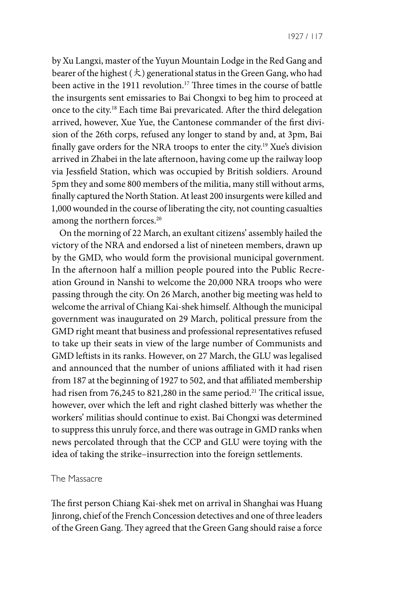1927 / 117

by Xu Langxi, master of the Yuyun Mountain Lodge in the Red Gang and bearer of the highest  $(\star)$  generational status in the Green Gang, who had been active in the 1911 revolution.<sup>17</sup> Three times in the course of battle the insurgents sent emissaries to Bai Chongxi to beg him to proceed at once to the city.18 Each time Bai prevaricated. After the third delegation arrived, however, Xue Yue, the Cantonese commander of the first division of the 26th corps, refused any longer to stand by and, at 3pm, Bai finally gave orders for the NRA troops to enter the city.19 Xue's division arrived in Zhabei in the late afternoon, having come up the railway loop via Jessfield Station, which was occupied by British soldiers. Around 5pm they and some 800 members of the militia, many still without arms, finally captured the North Station. At least 200 insurgents were killed and 1,000 wounded in the course of liberating the city, not counting casualties among the northern forces.<sup>20</sup>

On the morning of 22 March, an exultant citizens' assembly hailed the victory of the NRA and endorsed a list of nineteen members, drawn up by the GMD, who would form the provisional municipal government. In the afternoon half a million people poured into the Public Recreation Ground in Nanshi to welcome the 20,000 NRA troops who were passing through the city. On 26 March, another big meeting was held to welcome the arrival of Chiang Kai-shek himself. Although the municipal government was inaugurated on 29 March, political pressure from the GMD right meant that business and professional representatives refused to take up their seats in view of the large number of Communists and GMD leftists in its ranks. However, on 27 March, the GLU was legalised and announced that the number of unions affiliated with it had risen from 187 at the beginning of 1927 to 502, and that affiliated membership had risen from 76,245 to 821,280 in the same period.<sup>21</sup> The critical issue, however, over which the left and right clashed bitterly was whether the workers' militias should continue to exist. Bai Chongxi was determined to suppress this unruly force, and there was outrage in GMD ranks when news percolated through that the CCP and GLU were toying with the idea of taking the strike–insurrection into the foreign settlements.

#### The Massacre

The first person Chiang Kai-shek met on arrival in Shanghai was Huang Jinrong, chief of the French Concession detectives and one of three leaders of the Green Gang. They agreed that the Green Gang should raise a force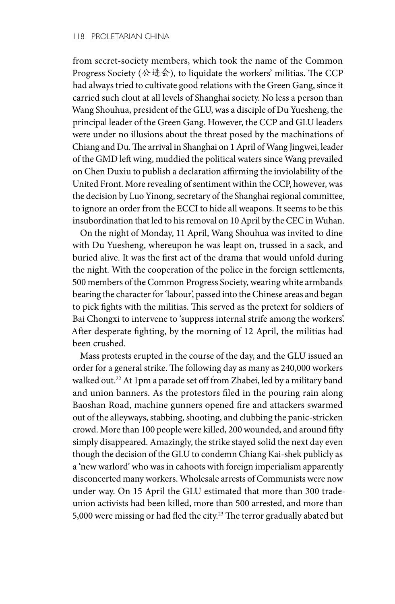from secret-society members, which took the name of the Common Progress Society (公进会), to liquidate the workers' militias. The CCP had always tried to cultivate good relations with the Green Gang, since it carried such clout at all levels of Shanghai society. No less a person than Wang Shouhua, president of the GLU, was a disciple of Du Yuesheng, the principal leader of the Green Gang. However, the CCP and GLU leaders were under no illusions about the threat posed by the machinations of Chiang and Du. The arrival in Shanghai on 1 April of Wang Jingwei, leader of the GMD left wing, muddied the political waters since Wang prevailed on Chen Duxiu to publish a declaration affirming the inviolability of the United Front. More revealing of sentiment within the CCP, however, was the decision by Luo Yinong, secretary of the Shanghai regional committee, to ignore an order from the ECCI to hide all weapons. It seems to be this insubordination that led to his removal on 10 April by the CEC in Wuhan.

On the night of Monday, 11 April, Wang Shouhua was invited to dine with Du Yuesheng, whereupon he was leapt on, trussed in a sack, and buried alive. It was the first act of the drama that would unfold during the night. With the cooperation of the police in the foreign settlements, 500 members of the Common Progress Society, wearing white armbands bearing the character for 'labour', passed into the Chinese areas and began to pick fights with the militias. This served as the pretext for soldiers of Bai Chongxi to intervene to 'suppress internal strife among the workers'. After desperate fighting, by the morning of 12 April, the militias had been crushed.

Mass protests erupted in the course of the day, and the GLU issued an order for a general strike. The following day as many as 240,000 workers walked out.22 At 1pm a parade set off from Zhabei, led by a military band and union banners. As the protestors filed in the pouring rain along Baoshan Road, machine gunners opened fire and attackers swarmed out of the alleyways, stabbing, shooting, and clubbing the panic-stricken crowd. More than 100 people were killed, 200 wounded, and around fifty simply disappeared. Amazingly, the strike stayed solid the next day even though the decision of the GLU to condemn Chiang Kai-shek publicly as a 'new warlord' who was in cahoots with foreign imperialism apparently disconcerted many workers. Wholesale arrests of Communists were now under way. On 15 April the GLU estimated that more than 300 tradeunion activists had been killed, more than 500 arrested, and more than 5,000 were missing or had fled the city.<sup>23</sup> The terror gradually abated but